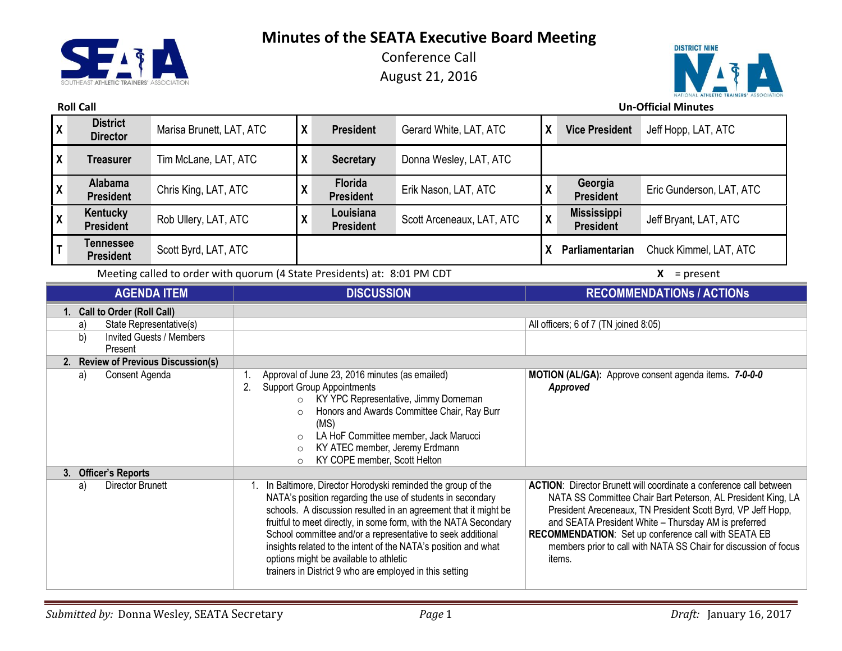**SEAT** Z. **Minutes of the SEATA Executive Board Meeting**

Conference Call August 21, 2016



**Roll Call Un-Official Minutes**

| $\mathbf{\overline{X}}$                                                                        | <b>District</b><br><b>Director</b> | Marisa Brunett, LAT, ATC | X                 | <b>President</b>                   | Gerard White, LAT, ATC    | X | <b>Vice President</b>                  | Jeff Hopp, LAT, ATC      |
|------------------------------------------------------------------------------------------------|------------------------------------|--------------------------|-------------------|------------------------------------|---------------------------|---|----------------------------------------|--------------------------|
| $\boldsymbol{X}$                                                                               | <b>Treasurer</b>                   | Tim McLane, LAT, ATC     | X                 | <b>Secretary</b>                   | Donna Wesley, LAT, ATC    |   |                                        |                          |
| $\overline{\mathbf{X}}$                                                                        | <b>Alabama</b><br><b>President</b> | Chris King, LAT, ATC     | Λ                 | <b>Florida</b><br><b>President</b> | Erik Nason, LAT, ATC      |   | Georgia<br><b>President</b>            | Eric Gunderson, LAT, ATC |
| $\mathsf{X}$                                                                                   | Kentucky<br><b>President</b>       | Rob Ullery, LAT, ATC     | v<br>$\mathbf{v}$ | Louisiana<br><b>President</b>      | Scott Arceneaux, LAT, ATC | Y | <b>Mississippi</b><br><b>President</b> | Jeff Bryant, LAT, ATC    |
| $\mathsf{T}$                                                                                   | Tennessee<br><b>President</b>      | Scott Byrd, LAT, ATC     |                   |                                    |                           |   | Parliamentarian                        | Chuck Kimmel, LAT, ATC   |
| Meeting called to arder with guarum (4 State Dresidents) at: 0.01 DM CDT<br>v<br>$-$ necessari |                                    |                          |                   |                                    |                           |   |                                        |                          |

Meeting called to order with quorum (4 State Presidents) at: 8:01 PM CDT **X** = present

|                                | <b>AGENDA ITEM</b>                         | <b>DISCUSSION</b>                                                                                                                                                                                                                                                                                                                                                                                                                                                                                     | <b>RECOMMENDATIONS / ACTIONS</b>                                                                                                                                                                                                                                                                                                                                                                        |
|--------------------------------|--------------------------------------------|-------------------------------------------------------------------------------------------------------------------------------------------------------------------------------------------------------------------------------------------------------------------------------------------------------------------------------------------------------------------------------------------------------------------------------------------------------------------------------------------------------|---------------------------------------------------------------------------------------------------------------------------------------------------------------------------------------------------------------------------------------------------------------------------------------------------------------------------------------------------------------------------------------------------------|
|                                | 1. Call to Order (Roll Call)               |                                                                                                                                                                                                                                                                                                                                                                                                                                                                                                       |                                                                                                                                                                                                                                                                                                                                                                                                         |
| a)                             | State Representative(s)                    |                                                                                                                                                                                                                                                                                                                                                                                                                                                                                                       | All officers; 6 of 7 (TN joined 8:05)                                                                                                                                                                                                                                                                                                                                                                   |
| b)                             | <b>Invited Guests / Members</b><br>Present |                                                                                                                                                                                                                                                                                                                                                                                                                                                                                                       |                                                                                                                                                                                                                                                                                                                                                                                                         |
|                                | 2. Review of Previous Discussion(s)        |                                                                                                                                                                                                                                                                                                                                                                                                                                                                                                       |                                                                                                                                                                                                                                                                                                                                                                                                         |
| a)                             | Consent Agenda                             | Approval of June 23, 2016 minutes (as emailed)<br><b>Support Group Appointments</b><br>2.<br>KY YPC Representative, Jimmy Dorneman<br>$\circ$<br>Honors and Awards Committee Chair, Ray Burr<br>$\circ$<br>(MS)<br>LA HoF Committee member, Jack Marucci<br>$\circ$<br>KY ATEC member, Jeremy Erdmann<br>KY COPE member, Scott Helton<br>$\circ$                                                                                                                                                      | MOTION (AL/GA): Approve consent agenda items. 7-0-0-0<br>Approved                                                                                                                                                                                                                                                                                                                                       |
| <b>Officer's Reports</b><br>3. |                                            |                                                                                                                                                                                                                                                                                                                                                                                                                                                                                                       |                                                                                                                                                                                                                                                                                                                                                                                                         |
| a)                             | Director Brunett                           | In Baltimore, Director Horodyski reminded the group of the<br>NATA's position regarding the use of students in secondary<br>schools. A discussion resulted in an agreement that it might be<br>fruitful to meet directly, in some form, with the NATA Secondary<br>School committee and/or a representative to seek additional<br>insights related to the intent of the NATA's position and what<br>options might be available to athletic<br>trainers in District 9 who are employed in this setting | <b>ACTION:</b> Director Brunett will coordinate a conference call between<br>NATA SS Committee Chair Bart Peterson, AL President King, LA<br>President Areceneaux, TN President Scott Byrd, VP Jeff Hopp,<br>and SEATA President White - Thursday AM is preferred<br>RECOMMENDATION: Set up conference call with SEATA EB<br>members prior to call with NATA SS Chair for discussion of focus<br>items. |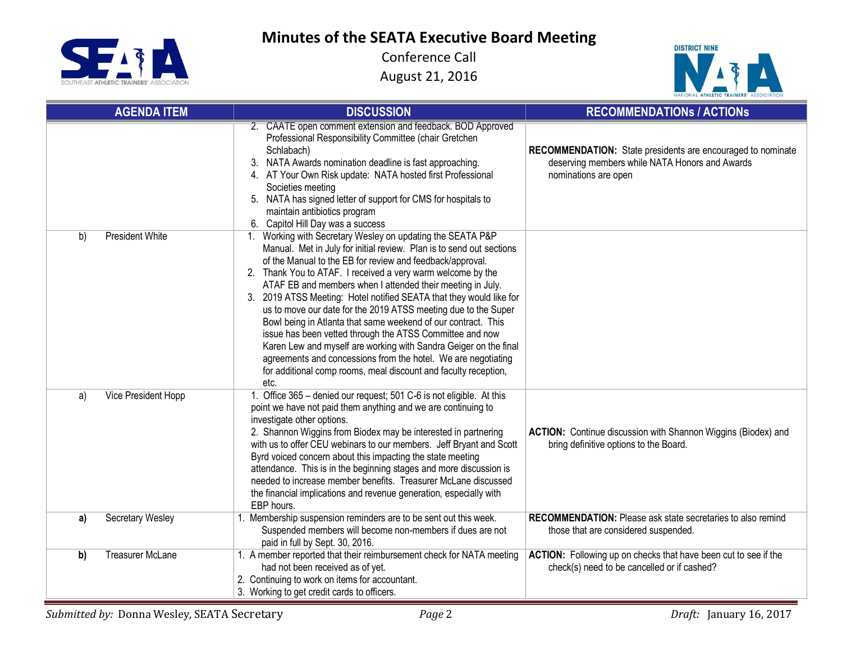SEIT Z,

## **Minutes of the SEATA Executive Board Meeting**



| <b>AGENDA ITEM</b>            | <b>DISCUSSION</b>                                                                                                                                                                                                                                                                                                                                                                                                                                                                                                                                                                                                                                                                                                                                                                                                  | <b>RECOMMENDATIONS / ACTIONS</b>                                                                                                             |  |
|-------------------------------|--------------------------------------------------------------------------------------------------------------------------------------------------------------------------------------------------------------------------------------------------------------------------------------------------------------------------------------------------------------------------------------------------------------------------------------------------------------------------------------------------------------------------------------------------------------------------------------------------------------------------------------------------------------------------------------------------------------------------------------------------------------------------------------------------------------------|----------------------------------------------------------------------------------------------------------------------------------------------|--|
|                               | 2. CAATE open comment extension and feedback. BOD Approved<br>Professional Responsibility Committee (chair Gretchen<br>Schlabach)<br>NATA Awards nomination deadline is fast approaching.<br>3.<br>4. AT Your Own Risk update: NATA hosted first Professional<br>Societies meeting<br>5. NATA has signed letter of support for CMS for hospitals to<br>maintain antibiotics program<br>6. Capitol Hill Day was a success                                                                                                                                                                                                                                                                                                                                                                                           | <b>RECOMMENDATION:</b> State presidents are encouraged to nominate<br>deserving members while NATA Honors and Awards<br>nominations are open |  |
| <b>President White</b><br>b)  | 1. Working with Secretary Wesley on updating the SEATA P&P<br>Manual. Met in July for initial review. Plan is to send out sections<br>of the Manual to the EB for review and feedback/approval.<br>2. Thank You to ATAF. I received a very warm welcome by the<br>ATAF EB and members when I attended their meeting in July.<br>3. 2019 ATSS Meeting: Hotel notified SEATA that they would like for<br>us to move our date for the 2019 ATSS meeting due to the Super<br>Bowl being in Atlanta that same weekend of our contract. This<br>issue has been vetted through the ATSS Committee and now<br>Karen Lew and myself are working with Sandra Geiger on the final<br>agreements and concessions from the hotel. We are negotiating<br>for additional comp rooms, meal discount and faculty reception,<br>etc. |                                                                                                                                              |  |
| Vice President Hopp<br>a)     | 1. Office 365 - denied our request; 501 C-6 is not eligible. At this<br>point we have not paid them anything and we are continuing to<br>investigate other options.<br>2. Shannon Wiggins from Biodex may be interested in partnering<br>with us to offer CEU webinars to our members. Jeff Bryant and Scott<br>Byrd voiced concern about this impacting the state meeting<br>attendance. This is in the beginning stages and more discussion is<br>needed to increase member benefits. Treasurer McLane discussed<br>the financial implications and revenue generation, especially with<br>EBP hours.                                                                                                                                                                                                             | ACTION: Continue discussion with Shannon Wiggins (Biodex) and<br>bring definitive options to the Board.                                      |  |
| Secretary Wesley<br>a)        | 1. Membership suspension reminders are to be sent out this week.<br>Suspended members will become non-members if dues are not<br>paid in full by Sept. 30, 2016.                                                                                                                                                                                                                                                                                                                                                                                                                                                                                                                                                                                                                                                   | <b>RECOMMENDATION:</b> Please ask state secretaries to also remind<br>those that are considered suspended.                                   |  |
| <b>Treasurer McLane</b><br>b) | 1. A member reported that their reimbursement check for NATA meeting<br>had not been received as of yet.<br>2. Continuing to work on items for accountant.<br>3. Working to get credit cards to officers.                                                                                                                                                                                                                                                                                                                                                                                                                                                                                                                                                                                                          | ACTION: Following up on checks that have been cut to see if the<br>check(s) need to be cancelled or if cashed?                               |  |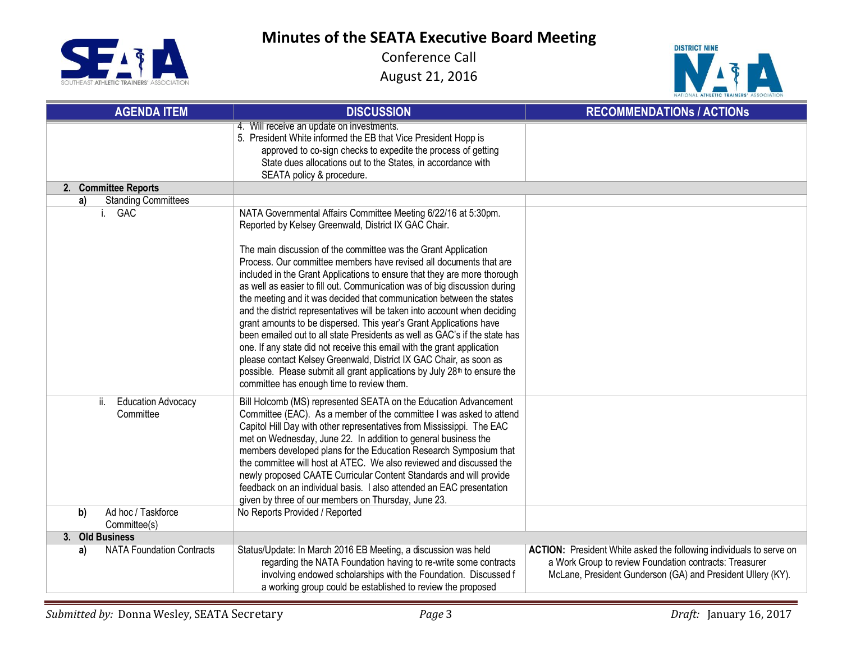**Minutes of the SEATA Executive Board Meeting**





| <b>AGENDA ITEM</b>                            | <b>DISCUSSION</b>                                                                                                                                                                                                                                                                                                                                                                                                                                                                                                                                                                                                                                                                                                                                                                                                                                                                                                                                                                                                       | <b>RECOMMENDATIONS / ACTIONS</b>                                                                                                                                                             |
|-----------------------------------------------|-------------------------------------------------------------------------------------------------------------------------------------------------------------------------------------------------------------------------------------------------------------------------------------------------------------------------------------------------------------------------------------------------------------------------------------------------------------------------------------------------------------------------------------------------------------------------------------------------------------------------------------------------------------------------------------------------------------------------------------------------------------------------------------------------------------------------------------------------------------------------------------------------------------------------------------------------------------------------------------------------------------------------|----------------------------------------------------------------------------------------------------------------------------------------------------------------------------------------------|
|                                               | 4. Will receive an update on investments.<br>5. President White informed the EB that Vice President Hopp is<br>approved to co-sign checks to expedite the process of getting<br>State dues allocations out to the States, in accordance with<br>SEATA policy & procedure.                                                                                                                                                                                                                                                                                                                                                                                                                                                                                                                                                                                                                                                                                                                                               |                                                                                                                                                                                              |
| 2. Committee Reports                          |                                                                                                                                                                                                                                                                                                                                                                                                                                                                                                                                                                                                                                                                                                                                                                                                                                                                                                                                                                                                                         |                                                                                                                                                                                              |
| <b>Standing Committees</b><br>a)              |                                                                                                                                                                                                                                                                                                                                                                                                                                                                                                                                                                                                                                                                                                                                                                                                                                                                                                                                                                                                                         |                                                                                                                                                                                              |
| i. GAC                                        | NATA Governmental Affairs Committee Meeting 6/22/16 at 5:30pm.<br>Reported by Kelsey Greenwald, District IX GAC Chair.<br>The main discussion of the committee was the Grant Application<br>Process. Our committee members have revised all documents that are<br>included in the Grant Applications to ensure that they are more thorough<br>as well as easier to fill out. Communication was of big discussion during<br>the meeting and it was decided that communication between the states<br>and the district representatives will be taken into account when deciding<br>grant amounts to be dispersed. This year's Grant Applications have<br>been emailed out to all state Presidents as well as GAC's if the state has<br>one. If any state did not receive this email with the grant application<br>please contact Kelsey Greenwald, District IX GAC Chair, as soon as<br>possible. Please submit all grant applications by July 28 <sup>th</sup> to ensure the<br>committee has enough time to review them. |                                                                                                                                                                                              |
| ii.<br><b>Education Advocacy</b><br>Committee | Bill Holcomb (MS) represented SEATA on the Education Advancement<br>Committee (EAC). As a member of the committee I was asked to attend<br>Capitol Hill Day with other representatives from Mississippi. The EAC<br>met on Wednesday, June 22. In addition to general business the<br>members developed plans for the Education Research Symposium that<br>the committee will host at ATEC. We also reviewed and discussed the<br>newly proposed CAATE Curricular Content Standards and will provide<br>feedback on an individual basis. I also attended an EAC presentation<br>given by three of our members on Thursday, June 23.                                                                                                                                                                                                                                                                                                                                                                                     |                                                                                                                                                                                              |
| Ad hoc / Taskforce<br>b)<br>Committee(s)      | No Reports Provided / Reported                                                                                                                                                                                                                                                                                                                                                                                                                                                                                                                                                                                                                                                                                                                                                                                                                                                                                                                                                                                          |                                                                                                                                                                                              |
| 3. Old Business                               |                                                                                                                                                                                                                                                                                                                                                                                                                                                                                                                                                                                                                                                                                                                                                                                                                                                                                                                                                                                                                         |                                                                                                                                                                                              |
| <b>NATA Foundation Contracts</b><br>a)        | Status/Update: In March 2016 EB Meeting, a discussion was held<br>regarding the NATA Foundation having to re-write some contracts<br>involving endowed scholarships with the Foundation. Discussed f<br>a working group could be established to review the proposed                                                                                                                                                                                                                                                                                                                                                                                                                                                                                                                                                                                                                                                                                                                                                     | ACTION: President White asked the following individuals to serve on<br>a Work Group to review Foundation contracts: Treasurer<br>McLane, President Gunderson (GA) and President Ullery (KY). |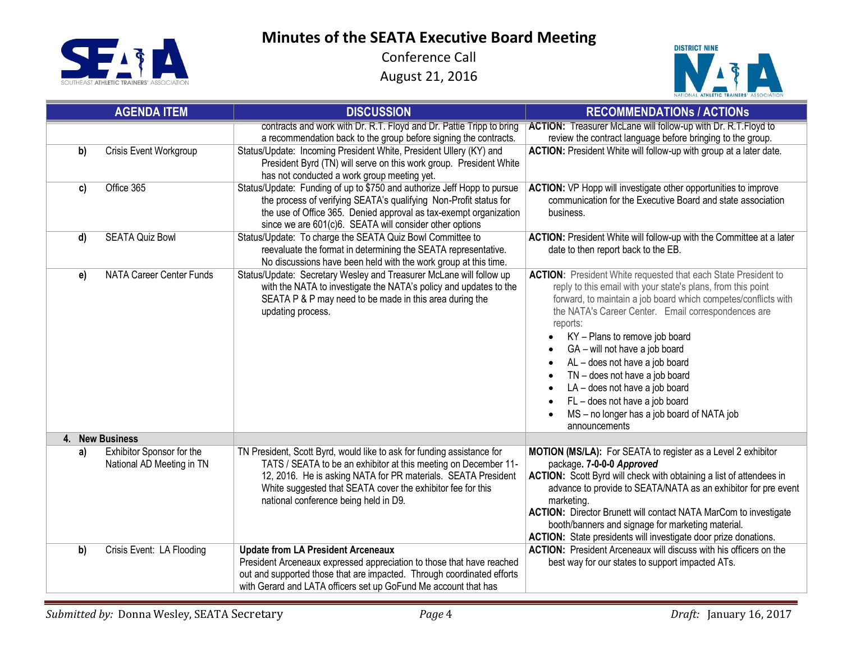SEIT

## **Minutes of the SEATA Executive Board Meeting**



|              | <b>AGENDA ITEM</b>                                            | <b>DISCUSSION</b>                                                                                                                                                                                                                                                                                                  | <b>RECOMMENDATIONS / ACTIONS</b>                                                                                                                                                                                                                                                                                                                                                                                                                                                                                                                                                                                                    |
|--------------|---------------------------------------------------------------|--------------------------------------------------------------------------------------------------------------------------------------------------------------------------------------------------------------------------------------------------------------------------------------------------------------------|-------------------------------------------------------------------------------------------------------------------------------------------------------------------------------------------------------------------------------------------------------------------------------------------------------------------------------------------------------------------------------------------------------------------------------------------------------------------------------------------------------------------------------------------------------------------------------------------------------------------------------------|
|              |                                                               | contracts and work with Dr. R.T. Floyd and Dr. Pattle Tripp to bring<br>a recommendation back to the group before signing the contracts.                                                                                                                                                                           | ACTION: Treasurer McLane will follow-up with Dr. R.T. Floyd to<br>review the contract language before bringing to the group.                                                                                                                                                                                                                                                                                                                                                                                                                                                                                                        |
| b)           | Crisis Event Workgroup                                        | Status/Update: Incoming President White, President Ullery (KY) and<br>President Byrd (TN) will serve on this work group. President White<br>has not conducted a work group meeting yet.                                                                                                                            | ACTION: President White will follow-up with group at a later date.                                                                                                                                                                                                                                                                                                                                                                                                                                                                                                                                                                  |
| c)           | Office 365                                                    | Status/Update: Funding of up to \$750 and authorize Jeff Hopp to pursue<br>the process of verifying SEATA's qualifying Non-Profit status for<br>the use of Office 365. Denied approval as tax-exempt organization<br>since we are 601(c)6. SEATA will consider other options                                       | <b>ACTION:</b> VP Hopp will investigate other opportunities to improve<br>communication for the Executive Board and state association<br>business.                                                                                                                                                                                                                                                                                                                                                                                                                                                                                  |
| $\mathsf{d}$ | <b>SEATA Quiz Bowl</b>                                        | Status/Update: To charge the SEATA Quiz Bowl Committee to<br>reevaluate the format in determining the SEATA representative.<br>No discussions have been held with the work group at this time.                                                                                                                     | ACTION: President White will follow-up with the Committee at a later<br>date to then report back to the EB.                                                                                                                                                                                                                                                                                                                                                                                                                                                                                                                         |
| e)           | <b>NATA Career Center Funds</b>                               | Status/Update: Secretary Wesley and Treasurer McLane will follow up<br>with the NATA to investigate the NATA's policy and updates to the<br>SEATA P & P may need to be made in this area during the<br>updating process.                                                                                           | <b>ACTION:</b> President White requested that each State President to<br>reply to this email with your state's plans, from this point<br>forward, to maintain a job board which competes/conflicts with<br>the NATA's Career Center. Email correspondences are<br>reports:<br>KY - Plans to remove job board<br>$\bullet$<br>GA - will not have a job board<br>$\bullet$<br>AL - does not have a job board<br>$\bullet$<br>TN - does not have a job board<br>$\bullet$<br>LA - does not have a job board<br>$\bullet$<br>FL - does not have a job board<br>$\bullet$<br>MS - no longer has a job board of NATA job<br>announcements |
|              | 4. New Business                                               |                                                                                                                                                                                                                                                                                                                    |                                                                                                                                                                                                                                                                                                                                                                                                                                                                                                                                                                                                                                     |
| a)           | <b>Exhibitor Sponsor for the</b><br>National AD Meeting in TN | TN President, Scott Byrd, would like to ask for funding assistance for<br>TATS / SEATA to be an exhibitor at this meeting on December 11-<br>12, 2016. He is asking NATA for PR materials. SEATA President<br>White suggested that SEATA cover the exhibitor fee for this<br>national conference being held in D9. | MOTION (MS/LA): For SEATA to register as a Level 2 exhibitor<br>package. 7-0-0-0 Approved<br>ACTION: Scott Byrd will check with obtaining a list of attendees in<br>advance to provide to SEATA/NATA as an exhibitor for pre event<br>marketing.<br><b>ACTION:</b> Director Brunett will contact NATA MarCom to investigate<br>booth/banners and signage for marketing material.<br>ACTION: State presidents will investigate door prize donations.                                                                                                                                                                                 |
| b)           | Crisis Event: LA Flooding                                     | <b>Update from LA President Arceneaux</b><br>President Arceneaux expressed appreciation to those that have reached<br>out and supported those that are impacted. Through coordinated efforts<br>with Gerard and LATA officers set up GoFund Me account that has                                                    | <b>ACTION:</b> President Arceneaux will discuss with his officers on the<br>best way for our states to support impacted ATs.                                                                                                                                                                                                                                                                                                                                                                                                                                                                                                        |